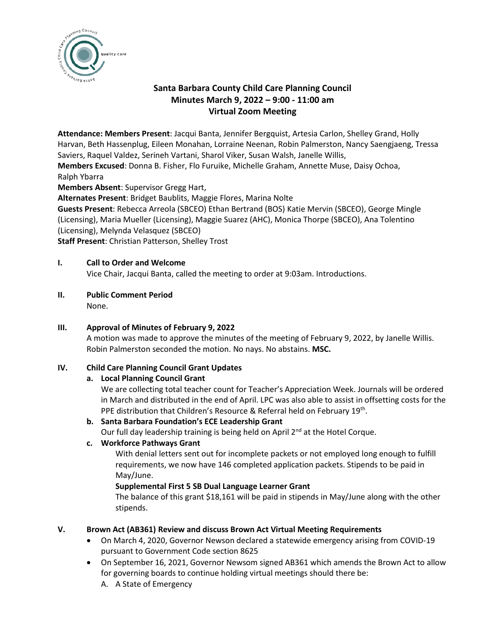

# **Santa Barbara County Child Care Planning Council Minutes March 9, 2022 – 9:00 - 11:00 am Virtual Zoom Meeting**

**Attendance: Members Present**: Jacqui Banta, Jennifer Bergquist, Artesia Carlon, Shelley Grand, Holly Harvan, Beth Hassenplug, Eileen Monahan, Lorraine Neenan, Robin Palmerston, Nancy Saengjaeng, Tressa Saviers, Raquel Valdez, Serineh Vartani, Sharol Viker, Susan Walsh, Janelle Willis,

**Members Excused**: Donna B. Fisher, Flo Furuike, Michelle Graham, Annette Muse, Daisy Ochoa, Ralph Ybarra

**Members Absent**: Supervisor Gregg Hart,

**Alternates Present**: Bridget Baublits, Maggie Flores, Marina Nolte

**Guests Present**: Rebecca Arreola (SBCEO) Ethan Bertrand (BOS) Katie Mervin (SBCEO), George Mingle (Licensing), Maria Mueller (Licensing), Maggie Suarez (AHC), Monica Thorpe (SBCEO), Ana Tolentino (Licensing), Melynda Velasquez (SBCEO)

**Staff Present**: Christian Patterson, Shelley Trost

## **I. Call to Order and Welcome**

Vice Chair, Jacqui Banta, called the meeting to order at 9:03am. Introductions.

**II. Public Comment Period**

None.

**III. Approval of Minutes of February 9, 2022**

A motion was made to approve the minutes of the meeting of February 9, 2022, by Janelle Willis. Robin Palmerston seconded the motion. No nays. No abstains. **MSC.**

### **IV. Child Care Planning Council Grant Updates**

#### **a. Local Planning Council Grant**

We are collecting total teacher count for Teacher's Appreciation Week. Journals will be ordered in March and distributed in the end of April. LPC was also able to assist in offsetting costs for the PPE distribution that Children's Resource & Referral held on February 19<sup>th</sup>.

#### **b. Santa Barbara Foundation's ECE Leadership Grant**

Our full day leadership training is being held on April 2<sup>nd</sup> at the Hotel Corque.

#### **c. Workforce Pathways Grant**

With denial letters sent out for incomplete packets or not employed long enough to fulfill requirements, we now have 146 completed application packets. Stipends to be paid in May/June.

#### **Supplemental First 5 SB Dual Language Learner Grant**

The balance of this grant \$18,161 will be paid in stipends in May/June along with the other stipends.

#### **V. Brown Act (AB361) Review and discuss Brown Act Virtual Meeting Requirements**

- On March 4, 2020, Governor Newson declared a statewide emergency arising from COVID-19 pursuant to Government Code section 8625
- On September 16, 2021, Governor Newsom signed AB361 which amends the Brown Act to allow for governing boards to continue holding virtual meetings should there be:
	- A. A State of Emergency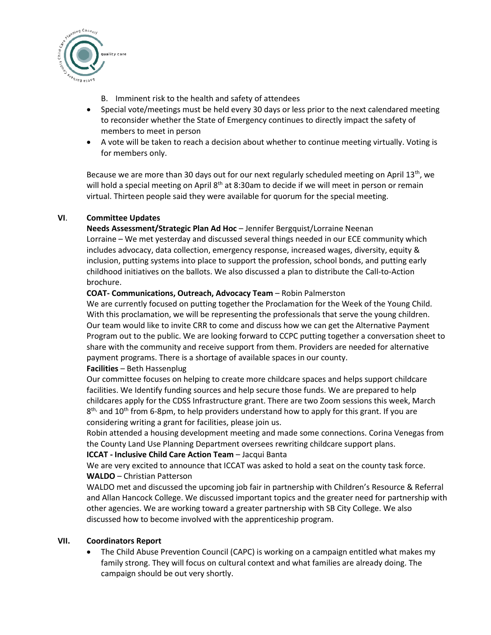

- B. Imminent risk to the health and safety of attendees
- Special vote/meetings must be held every 30 days or less prior to the next calendared meeting to reconsider whether the State of Emergency continues to directly impact the safety of members to meet in person
- A vote will be taken to reach a decision about whether to continue meeting virtually. Voting is for members only.

Because we are more than 30 days out for our next regularly scheduled meeting on April 13<sup>th</sup>, we will hold a special meeting on April 8<sup>th</sup> at 8:30am to decide if we will meet in person or remain virtual. Thirteen people said they were available for quorum for the special meeting.

## **VI**. **Committee Updates**

**Needs Assessment/Strategic Plan Ad Hoc** – Jennifer Bergquist/Lorraine Neenan Lorraine – We met yesterday and discussed several things needed in our ECE community which includes advocacy, data collection, emergency response, increased wages, diversity, equity & inclusion, putting systems into place to support the profession, school bonds, and putting early childhood initiatives on the ballots. We also discussed a plan to distribute the Call-to-Action brochure.

## **COAT- Communications, Outreach, Advocacy Team** – Robin Palmerston

We are currently focused on putting together the Proclamation for the Week of the Young Child. With this proclamation, we will be representing the professionals that serve the young children. Our team would like to invite CRR to come and discuss how we can get the Alternative Payment Program out to the public. We are looking forward to CCPC putting together a conversation sheet to share with the community and receive support from them. Providers are needed for alternative payment programs. There is a shortage of available spaces in our county.

#### **Facilities** – Beth Hassenplug

Our committee focuses on helping to create more childcare spaces and helps support childcare facilities. We Identify funding sources and help secure those funds. We are prepared to help childcares apply for the CDSS Infrastructure grant. There are two Zoom sessions this week, March 8<sup>th,</sup> and 10<sup>th</sup> from 6-8pm, to help providers understand how to apply for this grant. If you are considering writing a grant for facilities, please join us.

Robin attended a housing development meeting and made some connections. Corina Venegas from the County Land Use Planning Department oversees rewriting childcare support plans.

#### **ICCAT - Inclusive Child Care Action Team** – Jacqui Banta

We are very excited to announce that ICCAT was asked to hold a seat on the county task force. **WALDO** – Christian Patterson

WALDO met and discussed the upcoming job fair in partnership with Children's Resource & Referral and Allan Hancock College. We discussed important topics and the greater need for partnership with other agencies. We are working toward a greater partnership with SB City College. We also discussed how to become involved with the apprenticeship program.

#### **VII. Coordinators Report**

• The Child Abuse Prevention Council (CAPC) is working on a campaign entitled what makes my family strong. They will focus on cultural context and what families are already doing. The campaign should be out very shortly.